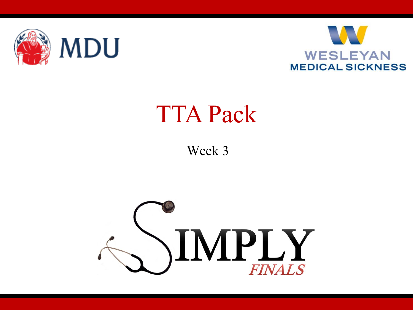



### TTA Pack

Week 3

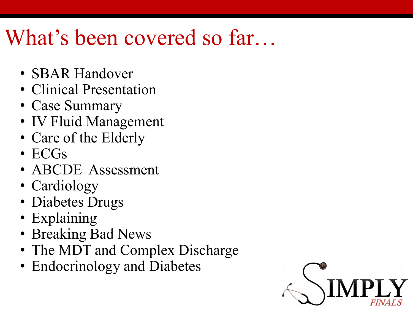### What's been covered so far...

- SBAR Handover
- Clinical Presentation
- Case Summary
- IV Fluid Management
- Care of the Elderly
- ECGs
- ABCDE Assessment
- Cardiology
- Diabetes Drugs
- Explaining
- Breaking Bad News
- The MDT and Complex Discharge
- Endocrinology and Diabetes

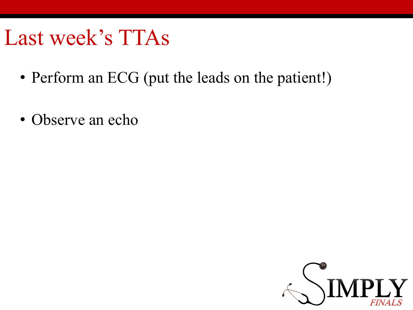#### Last week's TTAs

- Perform an ECG (put the leads on the patient!)
- Observe an echo

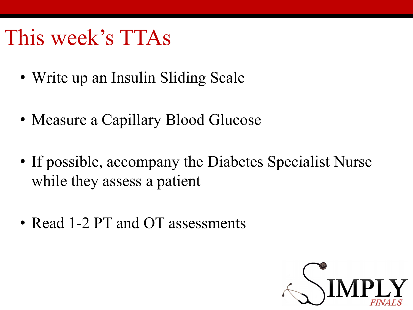### This week's TTAs

- Write up an Insulin Sliding Scale
- Measure a Capillary Blood Glucose
- If possible, accompany the Diabetes Specialist Nurse while they assess a patient
- Read 1-2 PT and OT assessments

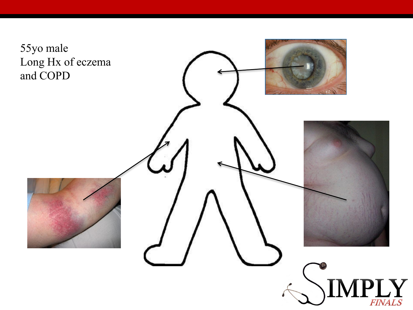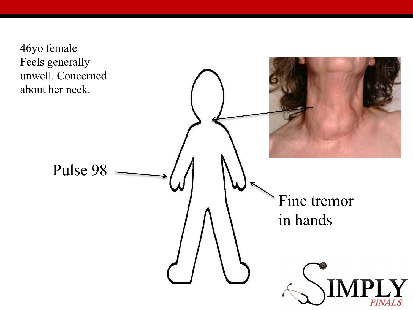46yo female Feels generally unwell. Concerned about her neck.

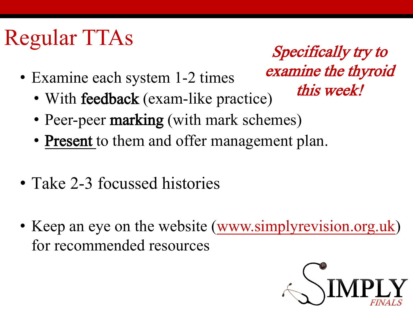## Regular TTAs

- Examine each system 1-2 times
	- With feedback (exam-like practice)
	- Peer-peer marking (with mark schemes)
	- Present to them and offer management plan.
- Take 2-3 focussed histories
- Keep an eye on the website ([www.simplyrevision.org.uk](http://www.simplyrevision.org.uk/)) for recommended resources



Specifically try to

examine the thyroid

this week!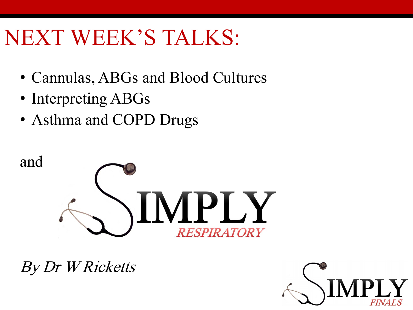### NEXT WEEK'S TALKS:

- Cannulas, ABGs and Blood Cultures
- Interpreting ABGs
- Asthma and COPD Drugs



By Dr W Ricketts